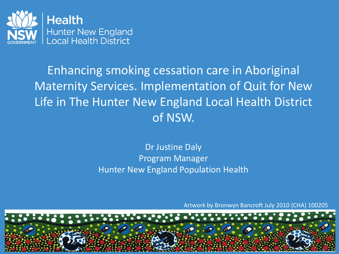

## Enhancing smoking cessation care in Aboriginal Maternity Services. Implementation of Quit for New Life in The Hunter New England Local Health District of NSW.

### Dr Justine Daly Program Manager Hunter New England Population Health

Artwork by Bronwyn Bancroft July 2010 (CHA) 100205

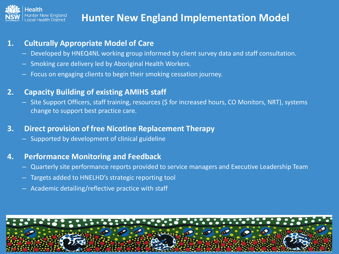

## **Hunter New England Implementation Model**

#### **1. Culturally Appropriate Model of Care**

- Developed by HNEQ4NL working group informed by client survey data and staff consultation.
- Smoking care delivery led by Aboriginal Health Workers.
- Focus on engaging clients to begin their smoking cessation journey.

#### **2. Capacity Building of existing AMIHS staff**

– Site Support Officers, staff training, resources (\$ for increased hours, CO Monitors, NRT), systems change to support best practice care.

#### **3. Direct provision of free Nicotine Replacement Therapy**

– Supported by development of clinical guideline

#### **4. Performance Monitoring and Feedback**

- Quarterly site performance reports provided to service managers and Executive Leadership Team
- Targets added to HNELHD's strategic reporting tool
- Academic detailing/reflective practice with staff

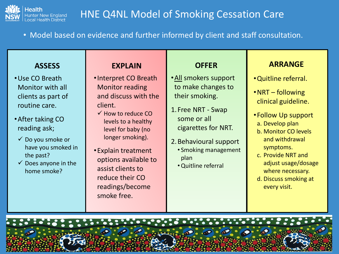

## HNE Q4NL Model of Smoking Cessation Care

• Model based on evidence and further informed by client and staff consultation.

#### **ASSESS**

- •Use CO Breath Monitor with all clients as part of routine care.
- •After taking CO reading ask;
	- $\checkmark$  Do you smoke or have you smoked in the past?
	- $\checkmark$  Does anyone in the home smoke?

#### **EXPLAIN**

- •Interpret CO Breath Monitor reading and discuss with the client.
- $\checkmark$  How to reduce CO levels to a healthy level for baby (no longer smoking).
- •Explain treatment options available to assist clients to reduce their CO readings/become smoke free.

#### **OFFER**

- •All smokers support to make changes to their smoking.
- 1. Free NRT Swap some or all cigarettes for NRT.
- 2.Behavioural support
	- Smoking management plan
	- •Quitline referral

#### **ARRANGE**

- •Quitline referral.
- •NRT following clinical guideline.
- •Follow Up support a. Develop plan
	- b. Monitor CO levels and withdrawal symptoms.
- c. Provide NRT and adjust usage/dosage where necessary.
- d. Discuss smoking at every visit.

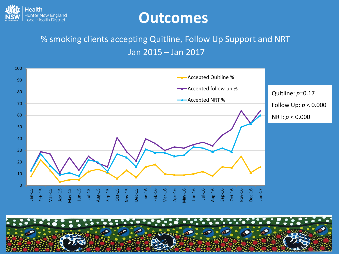

## **Outcomes**

### % smoking clients accepting Quitline, Follow Up Support and NRT Jan 2015 – Jan 2017